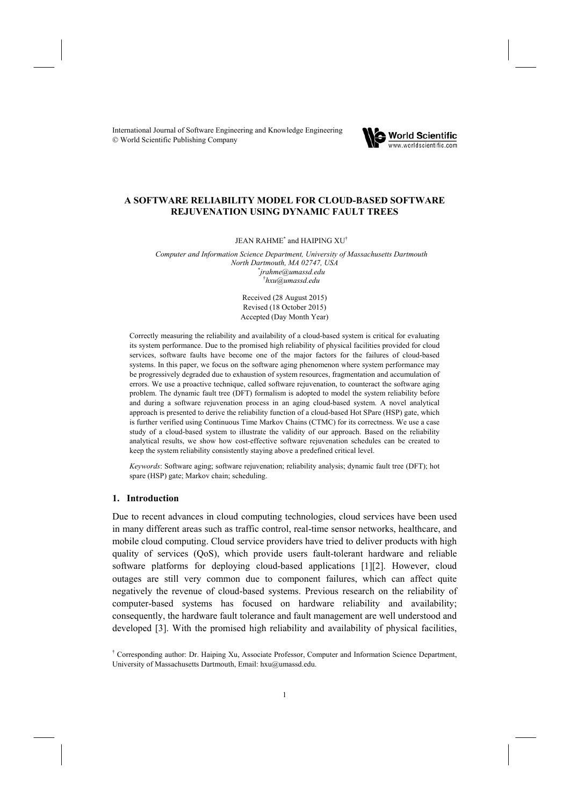International Journal of Software Engineering and Knowledge Engineering © World Scientific Publishing Company



# **A SOFTWARE RELIABILITY MODEL FOR CLOUD-BASED SOFTWARE REJUVENATION USING DYNAMIC FAULT TREES**

JEAN RAHME<sup>\*</sup> and HAIPING XU<sup>†</sup>

*Computer and Information Science Department, University of Massachusetts Dartmouth North Dartmouth, MA 02747, USA* \* *jrahme@umassd.edu*  † *hxu@umassd.edu* 

> Received (28 August 2015) Revised (18 October 2015) Accepted (Day Month Year)

Correctly measuring the reliability and availability of a cloud-based system is critical for evaluating its system performance. Due to the promised high reliability of physical facilities provided for cloud services, software faults have become one of the major factors for the failures of cloud-based systems. In this paper, we focus on the software aging phenomenon where system performance may be progressively degraded due to exhaustion of system resources, fragmentation and accumulation of errors. We use a proactive technique, called software rejuvenation, to counteract the software aging problem. The dynamic fault tree (DFT) formalism is adopted to model the system reliability before and during a software rejuvenation process in an aging cloud-based system. A novel analytical approach is presented to derive the reliability function of a cloud-based Hot SPare (HSP) gate, which is further verified using Continuous Time Markov Chains (CTMC) for its correctness. We use a case study of a cloud-based system to illustrate the validity of our approach. Based on the reliability analytical results, we show how cost-effective software rejuvenation schedules can be created to keep the system reliability consistently staying above a predefined critical level.

*Keywords*: Software aging; software rejuvenation; reliability analysis; dynamic fault tree (DFT); hot spare (HSP) gate; Markov chain; scheduling.

### **1. Introduction**

Due to recent advances in cloud computing technologies, cloud services have been used in many different areas such as traffic control, real-time sensor networks, healthcare, and mobile cloud computing. Cloud service providers have tried to deliver products with high quality of services (QoS), which provide users fault-tolerant hardware and reliable software platforms for deploying cloud-based applications [1][2]. However, cloud outages are still very common due to component failures, which can affect quite negatively the revenue of cloud-based systems. Previous research on the reliability of computer-based systems has focused on hardware reliability and availability; consequently, the hardware fault tolerance and fault management are well understood and developed [3]. With the promised high reliability and availability of physical facilities,

<sup>†</sup> Corresponding author: Dr. Haiping Xu, Associate Professor, Computer and Information Science Department, University of Massachusetts Dartmouth, Email: hxu@umassd.edu.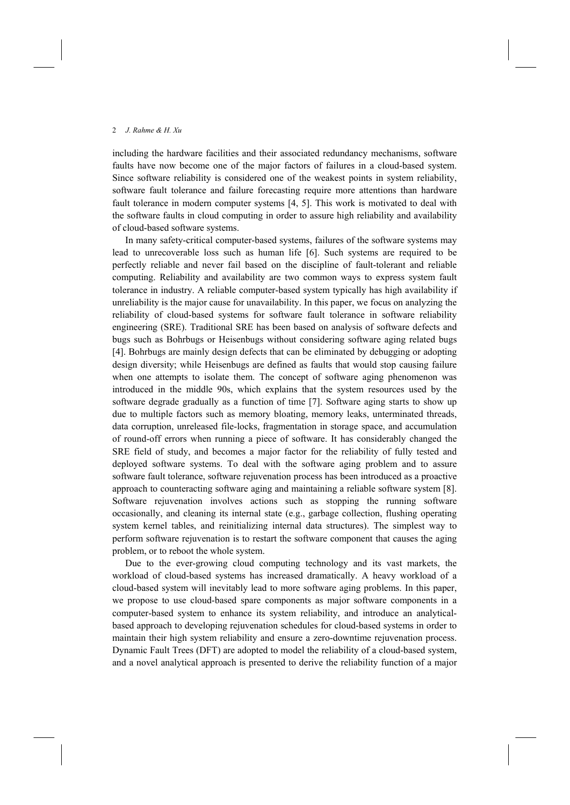including the hardware facilities and their associated redundancy mechanisms, software faults have now become one of the major factors of failures in a cloud-based system. Since software reliability is considered one of the weakest points in system reliability, software fault tolerance and failure forecasting require more attentions than hardware fault tolerance in modern computer systems [4, 5]. This work is motivated to deal with the software faults in cloud computing in order to assure high reliability and availability of cloud-based software systems.

In many safety-critical computer-based systems, failures of the software systems may lead to unrecoverable loss such as human life [6]. Such systems are required to be perfectly reliable and never fail based on the discipline of fault-tolerant and reliable computing. Reliability and availability are two common ways to express system fault tolerance in industry. A reliable computer-based system typically has high availability if unreliability is the major cause for unavailability. In this paper, we focus on analyzing the reliability of cloud-based systems for software fault tolerance in software reliability engineering (SRE). Traditional SRE has been based on analysis of software defects and bugs such as Bohrbugs or Heisenbugs without considering software aging related bugs [4]. Bohrbugs are mainly design defects that can be eliminated by debugging or adopting design diversity; while Heisenbugs are defined as faults that would stop causing failure when one attempts to isolate them. The concept of software aging phenomenon was introduced in the middle 90s, which explains that the system resources used by the software degrade gradually as a function of time [7]. Software aging starts to show up due to multiple factors such as memory bloating, memory leaks, unterminated threads, data corruption, unreleased file-locks, fragmentation in storage space, and accumulation of round-off errors when running a piece of software. It has considerably changed the SRE field of study, and becomes a major factor for the reliability of fully tested and deployed software systems. To deal with the software aging problem and to assure software fault tolerance, software rejuvenation process has been introduced as a proactive approach to counteracting software aging and maintaining a reliable software system [8]. Software rejuvenation involves actions such as stopping the running software occasionally, and cleaning its internal state (e.g., garbage collection, flushing operating system kernel tables, and reinitializing internal data structures). The simplest way to perform software rejuvenation is to restart the software component that causes the aging problem, or to reboot the whole system.

Due to the ever-growing cloud computing technology and its vast markets, the workload of cloud-based systems has increased dramatically. A heavy workload of a cloud-based system will inevitably lead to more software aging problems. In this paper, we propose to use cloud-based spare components as major software components in a computer-based system to enhance its system reliability, and introduce an analyticalbased approach to developing rejuvenation schedules for cloud-based systems in order to maintain their high system reliability and ensure a zero-downtime rejuvenation process. Dynamic Fault Trees (DFT) are adopted to model the reliability of a cloud-based system, and a novel analytical approach is presented to derive the reliability function of a major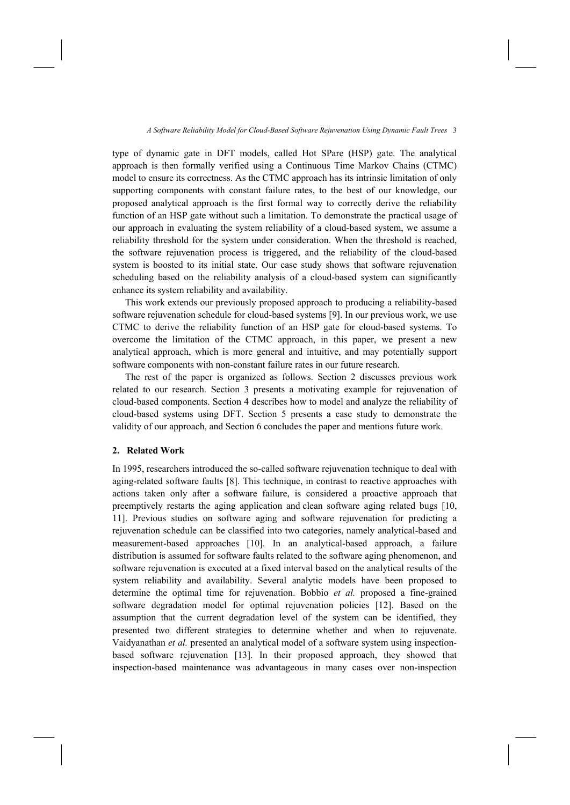type of dynamic gate in DFT models, called Hot SPare (HSP) gate. The analytical approach is then formally verified using a Continuous Time Markov Chains (CTMC) model to ensure its correctness. As the CTMC approach has its intrinsic limitation of only supporting components with constant failure rates, to the best of our knowledge, our proposed analytical approach is the first formal way to correctly derive the reliability function of an HSP gate without such a limitation. To demonstrate the practical usage of our approach in evaluating the system reliability of a cloud-based system, we assume a reliability threshold for the system under consideration. When the threshold is reached, the software rejuvenation process is triggered, and the reliability of the cloud-based system is boosted to its initial state. Our case study shows that software rejuvenation scheduling based on the reliability analysis of a cloud-based system can significantly enhance its system reliability and availability.

This work extends our previously proposed approach to producing a reliability-based software rejuvenation schedule for cloud-based systems [9]. In our previous work, we use CTMC to derive the reliability function of an HSP gate for cloud-based systems. To overcome the limitation of the CTMC approach, in this paper, we present a new analytical approach, which is more general and intuitive, and may potentially support software components with non-constant failure rates in our future research.

The rest of the paper is organized as follows. Section 2 discusses previous work related to our research. Section 3 presents a motivating example for rejuvenation of cloud-based components. Section 4 describes how to model and analyze the reliability of cloud-based systems using DFT. Section 5 presents a case study to demonstrate the validity of our approach, and Section 6 concludes the paper and mentions future work.

### **2. Related Work**

In 1995, researchers introduced the so-called software rejuvenation technique to deal with aging-related software faults [8]. This technique, in contrast to reactive approaches with actions taken only after a software failure, is considered a proactive approach that preemptively restarts the aging application and clean software aging related bugs [10, 11]. Previous studies on software aging and software rejuvenation for predicting a rejuvenation schedule can be classified into two categories, namely analytical-based and measurement-based approaches [10]. In an analytical-based approach, a failure distribution is assumed for software faults related to the software aging phenomenon, and software rejuvenation is executed at a fixed interval based on the analytical results of the system reliability and availability. Several analytic models have been proposed to determine the optimal time for rejuvenation. Bobbio *et al.* proposed a fine-grained software degradation model for optimal rejuvenation policies [12]. Based on the assumption that the current degradation level of the system can be identified, they presented two different strategies to determine whether and when to rejuvenate. Vaidyanathan *et al.* presented an analytical model of a software system using inspectionbased software rejuvenation [13]. In their proposed approach, they showed that inspection-based maintenance was advantageous in many cases over non-inspection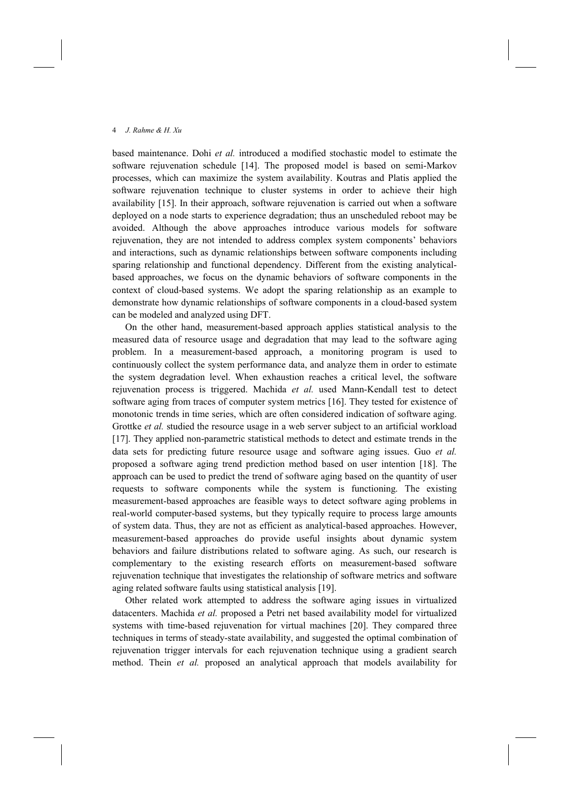based maintenance. Dohi *et al.* introduced a modified stochastic model to estimate the software rejuvenation schedule [14]. The proposed model is based on semi-Markov processes, which can maximize the system availability. Koutras and Platis applied the software rejuvenation technique to cluster systems in order to achieve their high availability [15]. In their approach, software rejuvenation is carried out when a software deployed on a node starts to experience degradation; thus an unscheduled reboot may be avoided. Although the above approaches introduce various models for software rejuvenation, they are not intended to address complex system components' behaviors and interactions, such as dynamic relationships between software components including sparing relationship and functional dependency. Different from the existing analyticalbased approaches, we focus on the dynamic behaviors of software components in the context of cloud-based systems. We adopt the sparing relationship as an example to demonstrate how dynamic relationships of software components in a cloud-based system can be modeled and analyzed using DFT.

On the other hand, measurement-based approach applies statistical analysis to the measured data of resource usage and degradation that may lead to the software aging problem. In a measurement-based approach, a monitoring program is used to continuously collect the system performance data, and analyze them in order to estimate the system degradation level. When exhaustion reaches a critical level, the software rejuvenation process is triggered. Machida *et al.* used Mann-Kendall test to detect software aging from traces of computer system metrics [16]. They tested for existence of monotonic trends in time series, which are often considered indication of software aging. Grottke *et al.* studied the resource usage in a web server subject to an artificial workload [17]. They applied non-parametric statistical methods to detect and estimate trends in the data sets for predicting future resource usage and software aging issues. Guo *et al.* proposed a software aging trend prediction method based on user intention [18]. The approach can be used to predict the trend of software aging based on the quantity of user requests to software components while the system is functioning. The existing measurement-based approaches are feasible ways to detect software aging problems in real-world computer-based systems, but they typically require to process large amounts of system data. Thus, they are not as efficient as analytical-based approaches. However, measurement-based approaches do provide useful insights about dynamic system behaviors and failure distributions related to software aging. As such, our research is complementary to the existing research efforts on measurement-based software rejuvenation technique that investigates the relationship of software metrics and software aging related software faults using statistical analysis [19].

Other related work attempted to address the software aging issues in virtualized datacenters. Machida *et al.* proposed a Petri net based availability model for virtualized systems with time-based rejuvenation for virtual machines [20]. They compared three techniques in terms of steady-state availability, and suggested the optimal combination of rejuvenation trigger intervals for each rejuvenation technique using a gradient search method. Thein *et al.* proposed an analytical approach that models availability for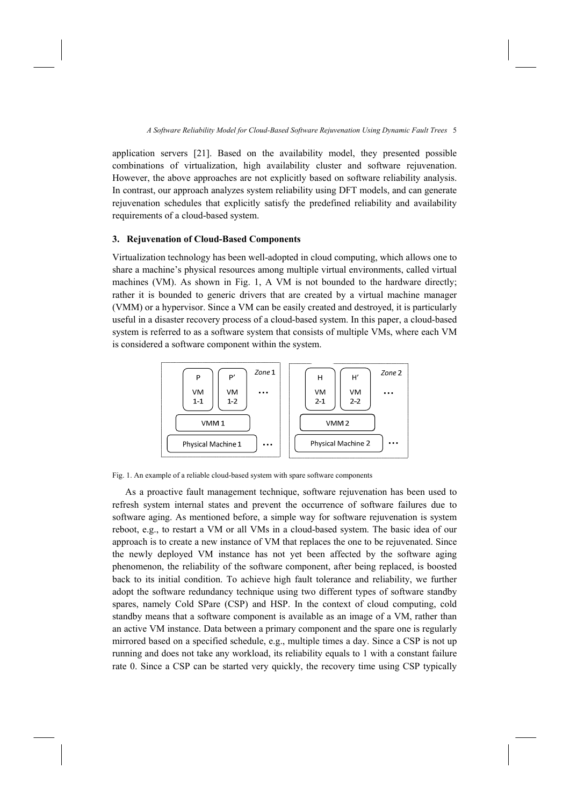application servers [21]. Based on the availability model, they presented possible combinations of virtualization, high availability cluster and software rejuvenation. However, the above approaches are not explicitly based on software reliability analysis. In contrast, our approach analyzes system reliability using DFT models, and can generate rejuvenation schedules that explicitly satisfy the predefined reliability and availability requirements of a cloud-based system.

## **3. Rejuvenation of Cloud-Based Components**

Virtualization technology has been well-adopted in cloud computing, which allows one to share a machine's physical resources among multiple virtual environments, called virtual machines (VM). As shown in Fig. 1, A VM is not bounded to the hardware directly; rather it is bounded to generic drivers that are created by a virtual machine manager (VMM) or a hypervisor. Since a VM can be easily created and destroyed, it is particularly useful in a disaster recovery process of a cloud-based system. In this paper, a cloud-based system is referred to as a software system that consists of multiple VMs, where each VM is considered a software component within the system.



Fig. 1. An example of a reliable cloud-based system with spare software components

As a proactive fault management technique, software rejuvenation has been used to refresh system internal states and prevent the occurrence of software failures due to software aging. As mentioned before, a simple way for software rejuvenation is system reboot, e.g., to restart a VM or all VMs in a cloud-based system. The basic idea of our approach is to create a new instance of VM that replaces the one to be rejuvenated. Since the newly deployed VM instance has not yet been affected by the software aging phenomenon, the reliability of the software component, after being replaced, is boosted back to its initial condition. To achieve high fault tolerance and reliability, we further adopt the software redundancy technique using two different types of software standby spares, namely Cold SPare (CSP) and HSP. In the context of cloud computing, cold standby means that a software component is available as an image of a VM, rather than an active VM instance. Data between a primary component and the spare one is regularly mirrored based on a specified schedule, e.g., multiple times a day. Since a CSP is not up running and does not take any workload, its reliability equals to 1 with a constant failure rate 0. Since a CSP can be started very quickly, the recovery time using CSP typically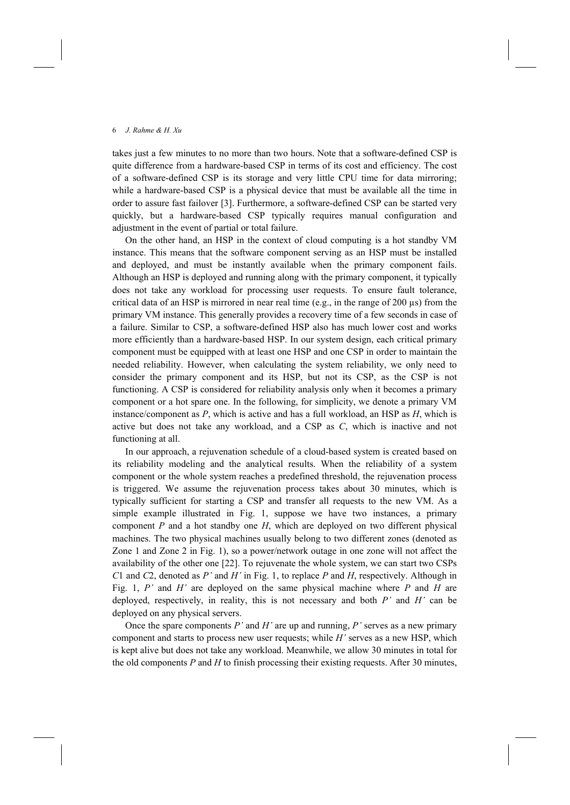takes just a few minutes to no more than two hours. Note that a software-defined CSP is quite difference from a hardware-based CSP in terms of its cost and efficiency. The cost of a software-defined CSP is its storage and very little CPU time for data mirroring; while a hardware-based CSP is a physical device that must be available all the time in order to assure fast failover [3]. Furthermore, a software-defined CSP can be started very quickly, but a hardware-based CSP typically requires manual configuration and adjustment in the event of partial or total failure.

On the other hand, an HSP in the context of cloud computing is a hot standby VM instance. This means that the software component serving as an HSP must be installed and deployed, and must be instantly available when the primary component fails. Although an HSP is deployed and running along with the primary component, it typically does not take any workload for processing user requests. To ensure fault tolerance, critical data of an HSP is mirrored in near real time (e.g., in the range of 200  $\mu$ s) from the primary VM instance. This generally provides a recovery time of a few seconds in case of a failure. Similar to CSP, a software-defined HSP also has much lower cost and works more efficiently than a hardware-based HSP. In our system design, each critical primary component must be equipped with at least one HSP and one CSP in order to maintain the needed reliability. However, when calculating the system reliability, we only need to consider the primary component and its HSP, but not its CSP, as the CSP is not functioning. A CSP is considered for reliability analysis only when it becomes a primary component or a hot spare one. In the following, for simplicity, we denote a primary VM instance/component as *P*, which is active and has a full workload, an HSP as *H*, which is active but does not take any workload, and a CSP as *C*, which is inactive and not functioning at all.

In our approach, a rejuvenation schedule of a cloud-based system is created based on its reliability modeling and the analytical results. When the reliability of a system component or the whole system reaches a predefined threshold, the rejuvenation process is triggered. We assume the rejuvenation process takes about 30 minutes, which is typically sufficient for starting a CSP and transfer all requests to the new VM. As a simple example illustrated in Fig. 1, suppose we have two instances, a primary component *P* and a hot standby one *H*, which are deployed on two different physical machines. The two physical machines usually belong to two different zones (denoted as Zone 1 and Zone 2 in Fig. 1), so a power/network outage in one zone will not affect the availability of the other one [22]. To rejuvenate the whole system, we can start two CSPs *C*1 and *C*2, denoted as *P'* and *H'* in Fig. 1, to replace *P* and *H*, respectively. Although in Fig. 1, *P'* and *H'* are deployed on the same physical machine where *P* and *H* are deployed, respectively, in reality, this is not necessary and both *P'* and *H'* can be deployed on any physical servers.

Once the spare components *P'* and *H'* are up and running, *P'* serves as a new primary component and starts to process new user requests; while *H'* serves as a new HSP, which is kept alive but does not take any workload. Meanwhile, we allow 30 minutes in total for the old components *P* and *H* to finish processing their existing requests. After 30 minutes,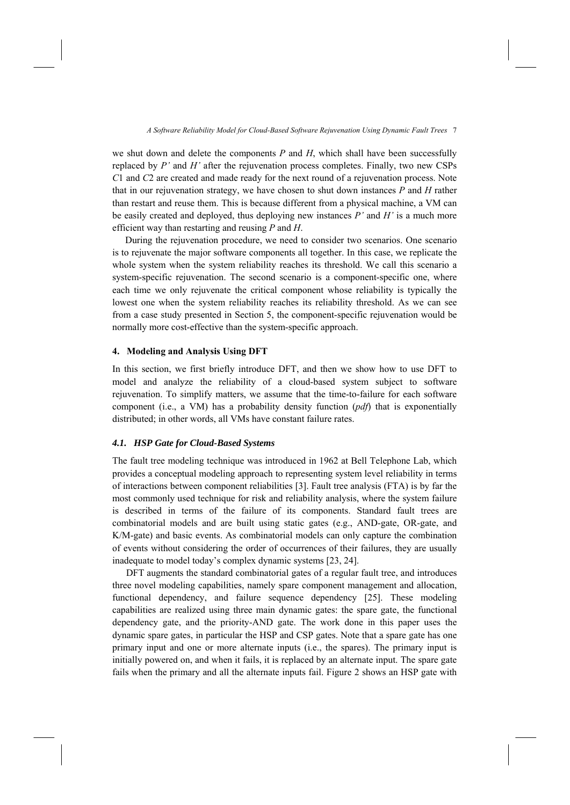we shut down and delete the components *P* and *H*, which shall have been successfully replaced by *P'* and *H'* after the rejuvenation process completes. Finally, two new CSPs *C*1 and *C*2 are created and made ready for the next round of a rejuvenation process. Note that in our rejuvenation strategy, we have chosen to shut down instances *P* and *H* rather than restart and reuse them. This is because different from a physical machine, a VM can be easily created and deployed, thus deploying new instances *P'* and *H'* is a much more efficient way than restarting and reusing *P* and *H*.

During the rejuvenation procedure, we need to consider two scenarios. One scenario is to rejuvenate the major software components all together. In this case, we replicate the whole system when the system reliability reaches its threshold. We call this scenario a system-specific rejuvenation. The second scenario is a component-specific one, where each time we only rejuvenate the critical component whose reliability is typically the lowest one when the system reliability reaches its reliability threshold. As we can see from a case study presented in Section 5, the component-specific rejuvenation would be normally more cost-effective than the system-specific approach.

## **4. Modeling and Analysis Using DFT**

In this section, we first briefly introduce DFT, and then we show how to use DFT to model and analyze the reliability of a cloud-based system subject to software rejuvenation. To simplify matters, we assume that the time-to-failure for each software component (i.e., a VM) has a probability density function (*pdf*) that is exponentially distributed; in other words, all VMs have constant failure rates.

### *4.1. HSP Gate for Cloud-Based Systems*

The fault tree modeling technique was introduced in 1962 at Bell Telephone Lab, which provides a conceptual modeling approach to representing system level reliability in terms of interactions between component reliabilities [3]. Fault tree analysis (FTA) is by far the most commonly used technique for risk and reliability analysis, where the system failure is described in terms of the failure of its components. Standard fault trees are combinatorial models and are built using static gates (e.g., AND-gate, OR-gate, and K/M-gate) and basic events. As combinatorial models can only capture the combination of events without considering the order of occurrences of their failures, they are usually inadequate to model today's complex dynamic systems [23, 24].

DFT augments the standard combinatorial gates of a regular fault tree, and introduces three novel modeling capabilities, namely spare component management and allocation, functional dependency, and failure sequence dependency [25]. These modeling capabilities are realized using three main dynamic gates: the spare gate, the functional dependency gate, and the priority-AND gate. The work done in this paper uses the dynamic spare gates, in particular the HSP and CSP gates. Note that a spare gate has one primary input and one or more alternate inputs (i.e., the spares). The primary input is initially powered on, and when it fails, it is replaced by an alternate input. The spare gate fails when the primary and all the alternate inputs fail. Figure 2 shows an HSP gate with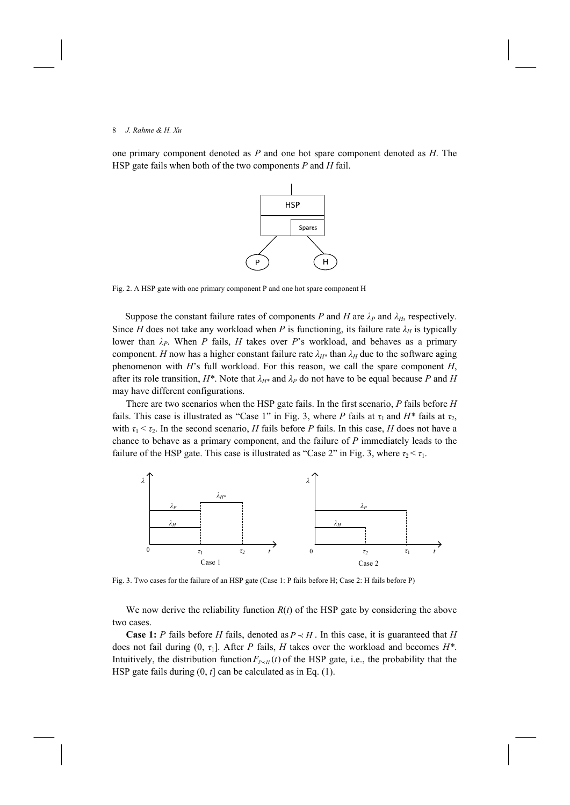one primary component denoted as *P* and one hot spare component denoted as *H*. The HSP gate fails when both of the two components *P* and *H* fail.



Fig. 2. A HSP gate with one primary component P and one hot spare component H

Suppose the constant failure rates of components *P* and *H* are  $\lambda_P$  and  $\lambda_H$ , respectively. Since *H* does not take any workload when *P* is functioning, its failure rate  $\lambda_H$  is typically lower than *λP*. When *P* fails, *H* takes over *P*'s workload, and behaves as a primary component. *H* now has a higher constant failure rate  $\lambda_{H*}$  than  $\lambda_H$  due to the software aging phenomenon with *H*'s full workload. For this reason, we call the spare component *H*, after its role transition,  $H^*$ . Note that  $\lambda_{H^*}$  and  $\lambda_P$  do not have to be equal because P and H may have different configurations.

There are two scenarios when the HSP gate fails. In the first scenario, *P* fails before *H* fails. This case is illustrated as "Case 1" in Fig. 3, where *P* fails at  $\tau_1$  and  $H^*$  fails at  $\tau_2$ , with  $\tau_1 < \tau_2$ . In the second scenario, *H* fails before *P* fails. In this case, *H* does not have a chance to behave as a primary component, and the failure of *P* immediately leads to the failure of the HSP gate. This case is illustrated as "Case 2" in Fig. 3, where  $\tau_2 < \tau_1$ .



Fig. 3. Two cases for the failure of an HSP gate (Case 1: P fails before H; Case 2: H fails before P)

We now derive the reliability function  $R(t)$  of the HSP gate by considering the above two cases.

**Case 1:** *P* fails before *H* fails, denoted as  $P \prec H$ . In this case, it is guaranteed that *H* does not fail during (0, *τ*1]. After *P* fails, *H* takes over the workload and becomes *H\**. Intuitively, the distribution function  $F_{P \prec H}(t)$  of the HSP gate, i.e., the probability that the HSP gate fails during (0, *t*] can be calculated as in Eq. (1).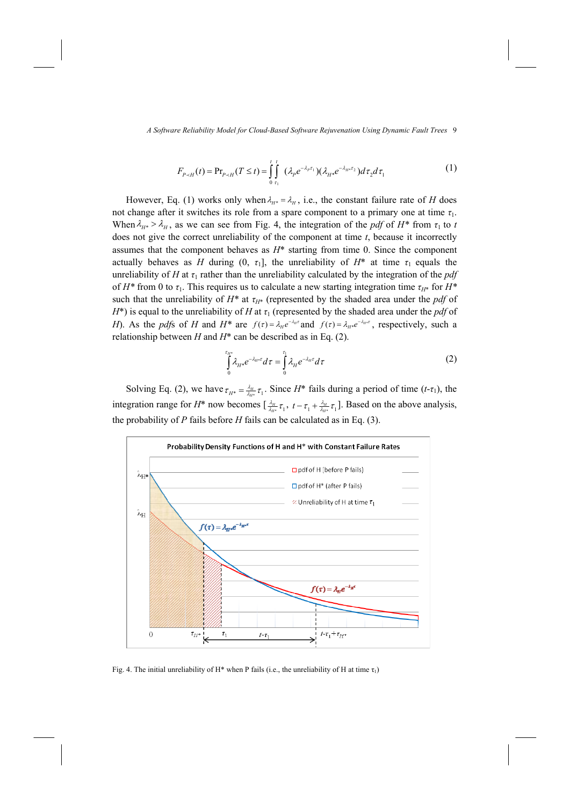$$
F_{P \prec H}(t) = \Pr_{P \prec H}(T \le t) = \int_{0}^{t} \int_{\tau_1}^{t} (\lambda_P e^{-\lambda_P \tau_1}) (\lambda_H e^{-\lambda_H \tau_2}) d\tau_2 d\tau_1
$$
 (1)

However, Eq. (1) works only when  $\lambda_{H^*} = \lambda_H$ , i.e., the constant failure rate of *H* does not change after it switches its role from a spare component to a primary one at time *τ*1. When  $\lambda_{H^*} > \lambda_H$ , as we can see from Fig. 4, the integration of the *pdf* of  $H^*$  from  $\tau_1$  to *t* does not give the correct unreliability of the component at time *t*, because it incorrectly assumes that the component behaves as *H*\* starting from time 0. Since the component actually behaves as *H* during  $(0, \tau_1]$ , the unreliability of  $H^*$  at time  $\tau_1$  equals the unreliability of *H* at  $\tau_1$  rather than the unreliability calculated by the integration of the *pdf* of *H\** from 0 to *τ*1. This requires us to calculate a new starting integration time *τH*\* for *H\** such that the unreliability of  $H^*$  at  $\tau_{H^*}$  (represented by the shaded area under the *pdf* of *H*<sup>\*</sup>) is equal to the unreliability of *H* at  $\tau_1$  (represented by the shaded area under the *pdf* of *H*). As the *pdf*s of *H* and  $H^*$  are  $f(\tau) = \lambda_H e^{-\lambda_H \tau}$  and  $f(\tau) = \lambda_{H^*} e^{-\lambda_H \tau}$ , respectively, such a relationship between *H* and *H*\* can be described as in Eq. (2).

$$
\int_{0}^{\tau_{H^*}} \lambda_{H^*} e^{-\lambda_{H^*} \tau} d\tau = \int_{0}^{\tau_1} \lambda_H e^{-\lambda_H \tau} d\tau
$$
 (2)

Solving Eq. (2), we have  $\tau_{H^*} = \frac{\lambda_H}{\lambda_{H^*}} \tau_1$  $H^* = \frac{\lambda_H}{\lambda_H^*} \tau_1$ . Since *H*<sup>\*</sup> fails during a period of time (*t*-*τ*<sub>1</sub>), the integration range for  $H^*$  now becomes  $\left[\frac{\lambda_H}{\lambda_{H^*}}\tau_1\right]$  $\frac{\lambda_H}{H^*}\tau_1$ ,  $t-\tau_1+\frac{\lambda_H}{\lambda_{H^*}}\tau_1$  $t - \tau_1 + \frac{\lambda_H}{\lambda_H} \tau_1$ . Based on the above analysis, the probability of *P* fails before *H* fails can be calculated as in Eq. (3).



Fig. 4. The initial unreliability of H\* when P fails (i.e., the unreliability of H at time  $\tau_1$ )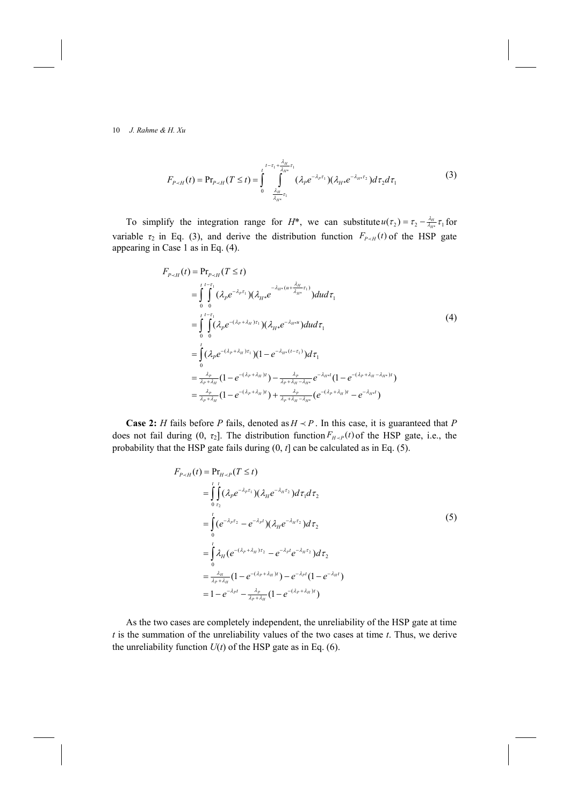$$
F_{P \prec H}(t) = \Pr_{P \prec H}(T \le t) = \int_{0}^{t-\tau_{1} + \frac{\lambda_{H}}{\lambda_{H^{*}}}\tau_{1}} \int_{\frac{\lambda_{H}}{\lambda_{H^{*}}}\tau_{1}}^{t-\tau_{1} + \frac{\lambda_{H}}{\lambda_{H^{*}}}\tau_{1}} (\lambda_{P}e^{-\lambda_{P}\tau_{1}})(\lambda_{H^{*}}e^{-\lambda_{H^{*}}\tau_{2}})d\tau_{2}d\tau_{1}
$$
\n(3)

To simplify the integration range for  $H^*$ , we can substitute  $u(\tau_2) = \tau_2 - \frac{\lambda_H}{\lambda_H \tau_1} \tau_1$  $u(\tau_2) = \tau_2 - \frac{\lambda_H}{\lambda_H \cdot \tau_1} \tau_1$  for variable  $\tau_2$  in Eq. (3), and derive the distribution function  $F_{P \sim H}(t)$  of the HSP gate appearing in Case 1 as in Eq. (4).

$$
F_{P \prec H}(t) = \Pr_{P \prec H}(T \le t)
$$
\n
$$
= \int_{0}^{t} \int_{0}^{t-\tau_{1}} (\lambda_{P}e^{-\lambda_{P}\tau_{1}})(\lambda_{H^{*}}e^{-\lambda_{H^{*}}(u+\frac{\lambda_{H}}{\lambda_{H^{*}}}\tau_{1})})dud\tau_{1}
$$
\n
$$
= \int_{0}^{t} \int_{0}^{t-\tau_{1}} (\lambda_{P}e^{-(\lambda_{P}+\lambda_{H})\tau_{1}})(\lambda_{H^{*}}e^{-\lambda_{H^{*}}u})dud\tau_{1}
$$
\n
$$
= \int_{0}^{t} (\lambda_{P}e^{-(\lambda_{P}+\lambda_{H})\tau_{1}})(1-e^{-\lambda_{H^{*}}(t-\tau_{1})})d\tau_{1}
$$
\n
$$
= \frac{\lambda_{P}}{\lambda_{P}+\lambda_{H}}(1-e^{-(\lambda_{P}+\lambda_{H})t}) - \frac{\lambda_{P}}{\lambda_{P}+\lambda_{H}-\lambda_{H^{*}}}e^{-\lambda_{H^{*}}t}(1-e^{-(\lambda_{P}+\lambda_{H}-\lambda_{H^{*}})t})
$$
\n
$$
= \frac{\lambda_{P}}{\lambda_{P}+\lambda_{H}}(1-e^{-(\lambda_{P}+\lambda_{H})t}) + \frac{\lambda_{P}}{\lambda_{P}+\lambda_{H}-\lambda_{H^{*}}}(e^{-(\lambda_{P}+\lambda_{H})t}-e^{-\lambda_{H^{*}}t})
$$
\n(4)

**Case 2:** *H* fails before *P* fails, denoted as  $H \prec P$ . In this case, it is guaranteed that *P* does not fail during  $(0, \tau_2]$ . The distribution function  $F_{H\prec P}(t)$  of the HSP gate, i.e., the probability that the HSP gate fails during (0, *t*] can be calculated as in Eq. (5).

$$
F_{P \prec H}(t) = \Pr_{H \prec P}(T \le t)
$$
\n
$$
= \int_{0}^{t} \int_{\tau_2}^{t} (\lambda_P e^{-\lambda_P \tau_1}) (\lambda_H e^{-\lambda_H \tau_2}) d\tau_1 d\tau_2
$$
\n
$$
= \int_{0}^{t} (e^{-\lambda_P \tau_2} - e^{-\lambda_P t}) (\lambda_H e^{-\lambda_H \tau_2}) d\tau_2
$$
\n
$$
= \int_{0}^{t} \lambda_H (e^{-(\lambda_P + \lambda_H) \tau_2} - e^{-\lambda_P t} e^{-\lambda_H \tau_2}) d\tau_2
$$
\n
$$
= \frac{\lambda_H}{\lambda_P + \lambda_H} (1 - e^{-(\lambda_P + \lambda_H) t}) - e^{-\lambda_P t} (1 - e^{-\lambda_H t})
$$
\n
$$
= 1 - e^{-\lambda_P t} - \frac{\lambda_P}{\lambda_P + \lambda_H} (1 - e^{-(\lambda_P + \lambda_H) t})
$$

As the two cases are completely independent, the unreliability of the HSP gate at time *t* is the summation of the unreliability values of the two cases at time *t*. Thus, we derive the unreliability function  $U(t)$  of the HSP gate as in Eq. (6).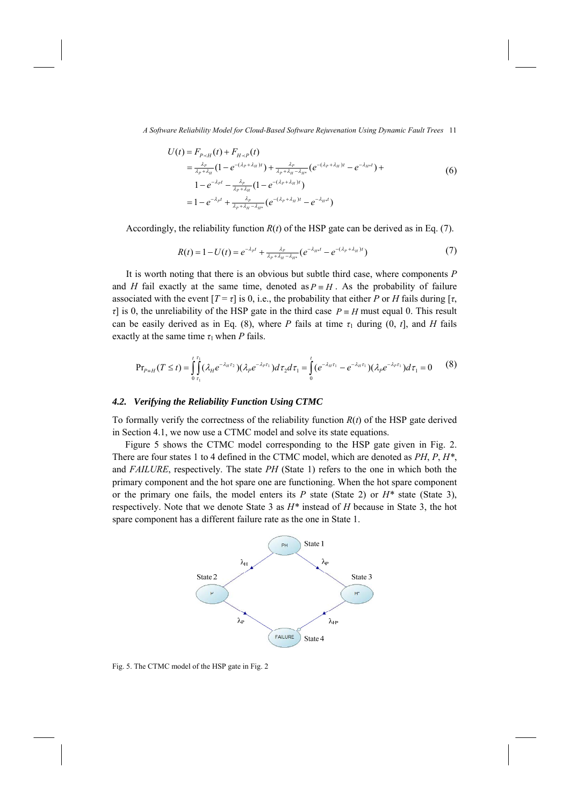$$
U(t) = F_{P \times H}(t) + F_{H \times P}(t)
$$
  
=  $\frac{\lambda_P}{\lambda_P + \lambda_H} (1 - e^{-(\lambda_P + \lambda_H)t}) + \frac{\lambda_P}{\lambda_P + \lambda_H - \lambda_H} (e^{-(\lambda_P + \lambda_H)t} - e^{-\lambda_H t}) +$   
 $1 - e^{-\lambda_P t} - \frac{\lambda_P}{\lambda_P + \lambda_H} (1 - e^{-(\lambda_P + \lambda_H)t})$   
=  $1 - e^{-\lambda_P t} + \frac{\lambda_P}{\lambda_P + \lambda_H - \lambda_H} (e^{-(\lambda_P + \lambda_H)t} - e^{-\lambda_H t})$  (6)

Accordingly, the reliability function  $R(t)$  of the HSP gate can be derived as in Eq. (7).

$$
R(t) = 1 - U(t) = e^{-\lambda_P t} + \frac{\lambda_P}{\lambda_P + \lambda_H - \lambda_{H^*}} \left( e^{-\lambda_{H^*} t} - e^{-(\lambda_P + \lambda_H)t} \right)
$$
(7)

It is worth noting that there is an obvious but subtle third case, where components *P* and *H* fail exactly at the same time, denoted as  $P = H$ . As the probability of failure associated with the event  $[T = \tau]$  is 0, i.e., the probability that either *P* or *H* fails during  $[\tau]$ , *τ*] is 0, the unreliability of the HSP gate in the third case  $P = H$  must equal 0. This result can be easily derived as in Eq. (8), where *P* fails at time  $\tau_1$  during (0, *t*], and *H* fails exactly at the same time  $\tau_1$  when *P* fails.

$$
\Pr_{P=H}(T \leq t) = \int_{0}^{t} \int_{\tau_1}^{t_1} (\lambda_H e^{-\lambda_H \tau_2}) (\lambda_P e^{-\lambda_P \tau_1}) d\tau_2 d\tau_1 = \int_{0}^{t} (e^{-\lambda_H \tau_1} - e^{-\lambda_H \tau_1}) (\lambda_P e^{-\lambda_P \tau_1}) d\tau_1 = 0 \tag{8}
$$

### *4.2. Verifying the Reliability Function Using CTMC*

To formally verify the correctness of the reliability function *R*(*t*) of the HSP gate derived in Section 4.1, we now use a CTMC model and solve its state equations.

Figure 5 shows the CTMC model corresponding to the HSP gate given in Fig. 2. There are four states 1 to 4 defined in the CTMC model, which are denoted as *PH*, *P*, *H\**, and *FAILURE*, respectively. The state *PH* (State 1) refers to the one in which both the primary component and the hot spare one are functioning. When the hot spare component or the primary one fails, the model enters its *P* state (State 2) or *H\** state (State 3), respectively. Note that we denote State 3 as *H\** instead of *H* because in State 3, the hot spare component has a different failure rate as the one in State 1.



Fig. 5. The CTMC model of the HSP gate in Fig. 2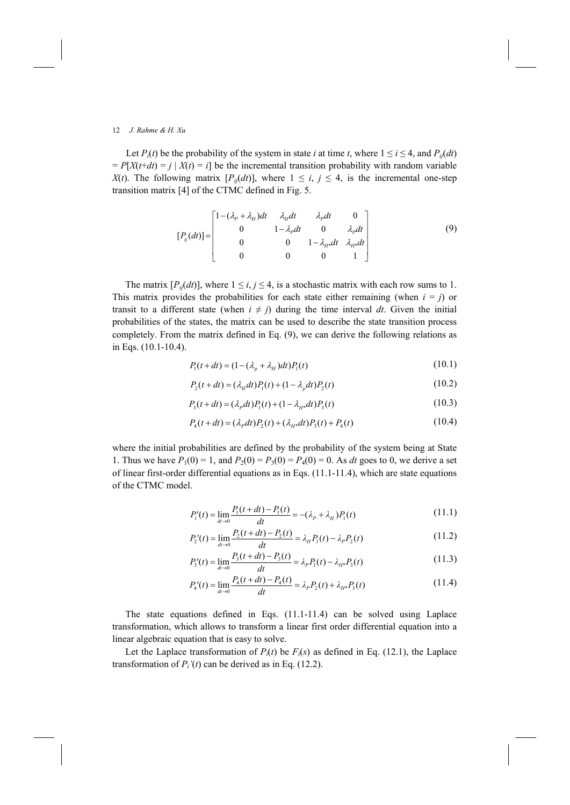Let  $P_i(t)$  be the probability of the system in state *i* at time *t*, where  $1 \le i \le 4$ , and  $P_{ij}(dt)$  $= P[X(t+dt) = j | X(t) = i]$  be the incremental transition probability with random variable *X*(*t*). The following matrix  $[P_{ij}(dt)]$ , where  $1 \le i, j \le 4$ , is the incremental one-step transition matrix [4] of the CTMC defined in Fig. 5.

$$
[P_{ij}(dt)] = \begin{bmatrix} 1 - (\lambda_p + \lambda_H)dt & \lambda_H dt & \lambda_p dt & 0 \\ 0 & 1 - \lambda_p dt & 0 & \lambda_p dt \\ 0 & 0 & 1 - \lambda_H dt & \lambda_H dt \\ 0 & 0 & 0 & 1 \end{bmatrix}
$$
 (9)

The matrix  $[P_{ij}(dt)]$ , where  $1 \le i, j \le 4$ , is a stochastic matrix with each row sums to 1. This matrix provides the probabilities for each state either remaining (when  $i = j$ ) or transit to a different state (when  $i \neq j$ ) during the time interval *dt*. Given the initial probabilities of the states, the matrix can be used to describe the state transition process completely. From the matrix defined in Eq. (9), we can derive the following relations as in Eqs. (10.1-10.4).

$$
P_1(t+dt) = (1 - (\lambda_p + \lambda_H)dt)P_1(t)
$$
\n(10.1)

$$
P_2(t + dt) = (\lambda_H dt) P_1(t) + (1 - \lambda_p dt) P_2(t)
$$
\n(10.2)

$$
P_3(t+dt) = (\lambda_p dt)P_1(t) + (1 - \lambda_{H*} dt)P_3(t)
$$
\n(10.3)

$$
P_4(t+dt) = (\lambda_p dt) P_2(t) + (\lambda_{H^*} dt) P_3(t) + P_4(t)
$$
\n(10.4)

where the initial probabilities are defined by the probability of the system being at State 1. Thus we have  $P_1(0) = 1$ , and  $P_2(0) = P_3(0) = P_4(0) = 0$ . As *dt* goes to 0, we derive a set of linear first-order differential equations as in Eqs. (11.1-11.4), which are state equations of the CTMC model.

$$
P_1'(t) = \lim_{dt \to 0} \frac{P_1(t + dt) - P_1(t)}{dt} = -(\lambda_P + \lambda_H) P_1(t)
$$
\n(11.1)

$$
P_2'(t) = \lim_{dt \to 0} \frac{P_2(t + dt) - P_2(t)}{dt} = \lambda_H P_1(t) - \lambda_P P_2(t)
$$
\n(11.2)

$$
P_3'(t) = \lim_{dt \to 0} \frac{P_3(t + dt) - P_3(t)}{dt} = \lambda_p P_1(t) - \lambda_{H^*} P_3(t)
$$
\n(11.3)

$$
P_4'(t) = \lim_{dt \to 0} \frac{P_4(t + dt) - P_4(t)}{dt} = \lambda_p P_2(t) + \lambda_{H^*} P_3(t)
$$
\n(11.4)

The state equations defined in Eqs. (11.1-11.4) can be solved using Laplace transformation, which allows to transform a linear first order differential equation into a linear algebraic equation that is easy to solve.

Let the Laplace transformation of  $P_i(t)$  be  $F_i(s)$  as defined in Eq. (12.1), the Laplace transformation of  $P_i'(t)$  can be derived as in Eq. (12.2).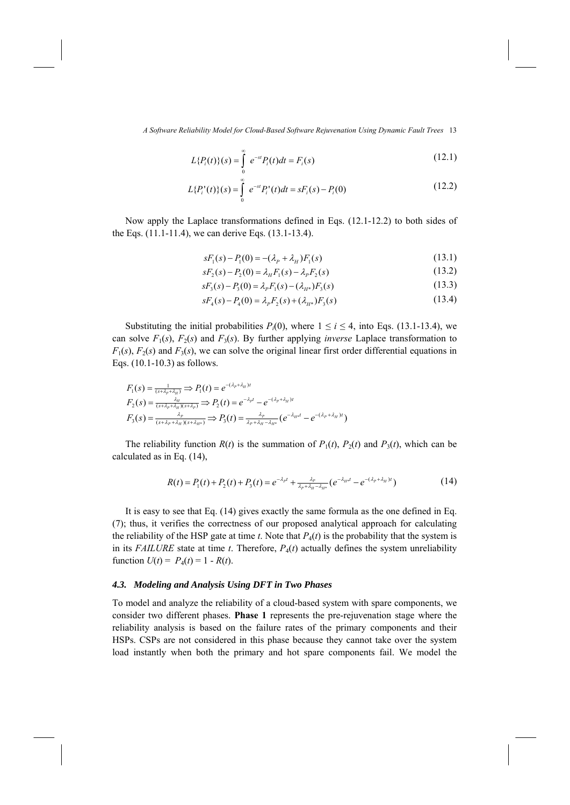$$
L\{P_i(t)\}(s) = \int_{0}^{\infty} e^{-st} P_i(t)dt = F_i(s)
$$
\n(12.1)

$$
L\{P_i^{\prime}(t)\}(s) = \int_{0}^{\infty} e^{-st} P_i^{\prime}(t)dt = sF_i(s) - P_i(0)
$$
\n(12.2)

Now apply the Laplace transformations defined in Eqs. (12.1-12.2) to both sides of the Eqs. (11.1-11.4), we can derive Eqs. (13.1-13.4).

$$
sF_1(s) - P_1(0) = -(\lambda_p + \lambda_H)F_1(s)
$$
\n(13.1)

$$
sF_2(s) - P_2(0) = \lambda_H F_1(s) - \lambda_P F_2(s)
$$
\n(13.2)

$$
sF_3(s) - P_3(0) = \lambda_p F_1(s) - (\lambda_{H^*}) F_3(s)
$$
\n(13.3)

$$
sF_4(s) - P_4(0) = \lambda_p F_2(s) + (\lambda_{H^*}) F_3(s)
$$
\n(13.4)

Substituting the initial probabilities  $P_i(0)$ , where  $1 \le i \le 4$ , into Eqs. (13.1-13.4), we can solve  $F_1(s)$ ,  $F_2(s)$  and  $F_3(s)$ . By further applying *inverse* Laplace transformation to  $F_1(s)$ ,  $F_2(s)$  and  $F_3(s)$ , we can solve the original linear first order differential equations in Eqs. (10.1-10.3) as follows.

$$
F_1(s) = \frac{1}{(s + \lambda_p + \lambda_H)} \Rightarrow P_1(t) = e^{-(\lambda_p + \lambda_H)t}
$$
  
\n
$$
F_2(s) = \frac{\lambda_H}{(s + \lambda_p + \lambda_H)(s + \lambda_p)} \Rightarrow P_2(t) = e^{-\lambda_p t} - e^{-(\lambda_p + \lambda_H)t}
$$
  
\n
$$
F_3(s) = \frac{\lambda_p}{(s + \lambda_p + \lambda_H)(s + \lambda_H)} \Rightarrow P_3(t) = \frac{\lambda_p}{\lambda_p + \lambda_H - \lambda_H s} (e^{-\lambda_H t} - e^{-(\lambda_p + \lambda_H)t})
$$

The reliability function  $R(t)$  is the summation of  $P_1(t)$ ,  $P_2(t)$  and  $P_3(t)$ , which can be calculated as in Eq. (14),

$$
R(t) = P_1(t) + P_2(t) + P_3(t) = e^{-\lambda_p t} + \frac{\lambda_p}{\lambda_p + \lambda_{\mu} - \lambda_{\mu^*}} \left( e^{-\lambda_{\mu^*} t} - e^{-(\lambda_p + \lambda_{\mu})t} \right)
$$
(14)

It is easy to see that Eq. (14) gives exactly the same formula as the one defined in Eq. (7); thus, it verifies the correctness of our proposed analytical approach for calculating the reliability of the HSP gate at time *t*. Note that  $P_4(t)$  is the probability that the system is in its *FAILURE* state at time  $t$ . Therefore,  $P_4(t)$  actually defines the system unreliability function  $U(t) = P_4(t) = 1 - R(t)$ .

### *4.3. Modeling and Analysis Using DFT in Two Phases*

To model and analyze the reliability of a cloud-based system with spare components, we consider two different phases. **Phase 1** represents the pre-rejuvenation stage where the reliability analysis is based on the failure rates of the primary components and their HSPs. CSPs are not considered in this phase because they cannot take over the system load instantly when both the primary and hot spare components fail. We model the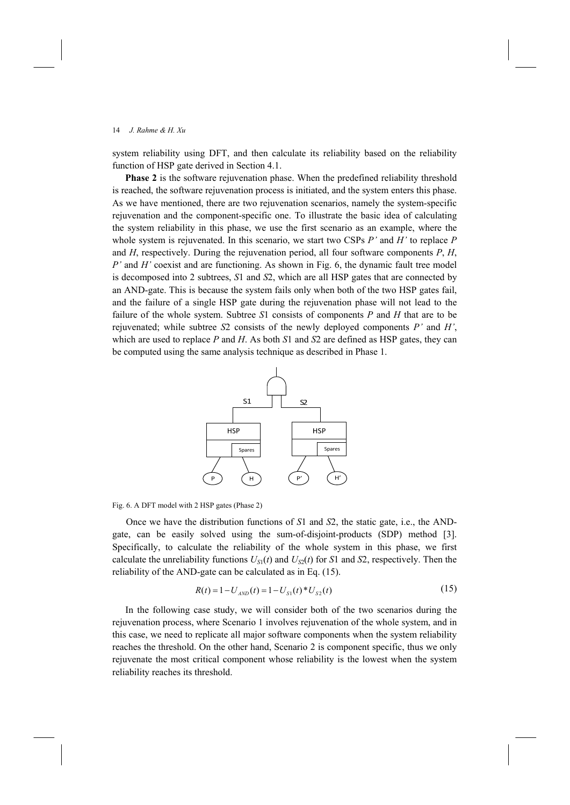system reliability using DFT, and then calculate its reliability based on the reliability function of HSP gate derived in Section 4.1.

**Phase 2** is the software rejuvenation phase. When the predefined reliability threshold is reached, the software rejuvenation process is initiated, and the system enters this phase. As we have mentioned, there are two rejuvenation scenarios, namely the system-specific rejuvenation and the component-specific one. To illustrate the basic idea of calculating the system reliability in this phase, we use the first scenario as an example, where the whole system is rejuvenated. In this scenario, we start two CSPs *P'* and *H'* to replace *P* and *H*, respectively. During the rejuvenation period, all four software components *P*, *H*, *P'* and *H'* coexist and are functioning. As shown in Fig. 6, the dynamic fault tree model is decomposed into 2 subtrees, *S*1 and *S*2, which are all HSP gates that are connected by an AND-gate. This is because the system fails only when both of the two HSP gates fail, and the failure of a single HSP gate during the rejuvenation phase will not lead to the failure of the whole system. Subtree *S*1 consists of components *P* and *H* that are to be rejuvenated; while subtree *S*2 consists of the newly deployed components *P'* and *H'*, which are used to replace *P* and *H*. As both *S*1 and *S*2 are defined as HSP gates, they can be computed using the same analysis technique as described in Phase 1.



Fig. 6. A DFT model with 2 HSP gates (Phase 2)

Once we have the distribution functions of *S*1 and *S*2, the static gate, i.e., the ANDgate, can be easily solved using the sum-of-disjoint-products (SDP) method [3]. Specifically, to calculate the reliability of the whole system in this phase, we first calculate the unreliability functions  $U_{S1}(t)$  and  $U_{S2}(t)$  for *S*1 and *S*2, respectively. Then the reliability of the AND-gate can be calculated as in Eq. (15).

$$
R(t) = 1 - U_{AND}(t) = 1 - U_{S1}(t)^* U_{S2}(t)
$$
\n(15)

In the following case study, we will consider both of the two scenarios during the rejuvenation process, where Scenario 1 involves rejuvenation of the whole system, and in this case, we need to replicate all major software components when the system reliability reaches the threshold. On the other hand, Scenario 2 is component specific, thus we only rejuvenate the most critical component whose reliability is the lowest when the system reliability reaches its threshold.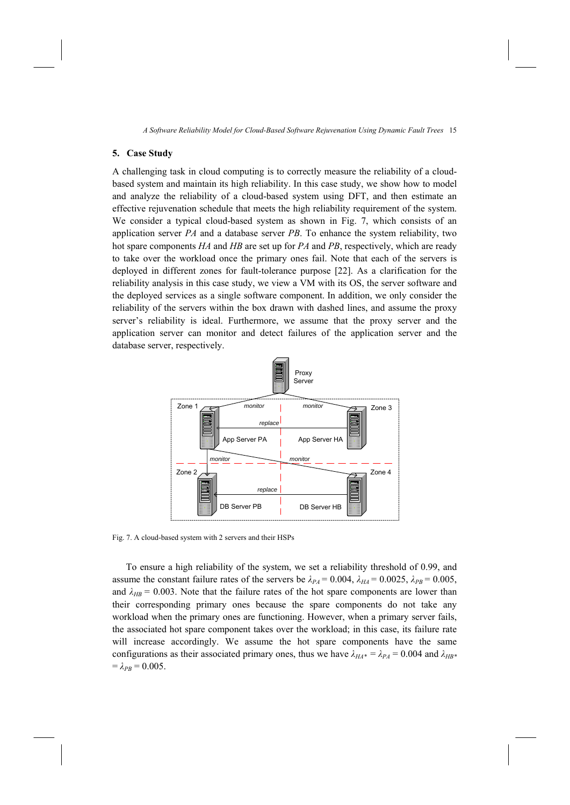### **5. Case Study**

A challenging task in cloud computing is to correctly measure the reliability of a cloudbased system and maintain its high reliability. In this case study, we show how to model and analyze the reliability of a cloud-based system using DFT, and then estimate an effective rejuvenation schedule that meets the high reliability requirement of the system. We consider a typical cloud-based system as shown in Fig. 7, which consists of an application server *PA* and a database server *PB*. To enhance the system reliability, two hot spare components *HA* and *HB* are set up for *PA* and *PB*, respectively, which are ready to take over the workload once the primary ones fail. Note that each of the servers is deployed in different zones for fault-tolerance purpose [22]. As a clarification for the reliability analysis in this case study, we view a VM with its OS, the server software and the deployed services as a single software component. In addition, we only consider the reliability of the servers within the box drawn with dashed lines, and assume the proxy server's reliability is ideal. Furthermore, we assume that the proxy server and the application server can monitor and detect failures of the application server and the database server, respectively.



Fig. 7. A cloud-based system with 2 servers and their HSPs

To ensure a high reliability of the system, we set a reliability threshold of 0.99, and assume the constant failure rates of the servers be  $\lambda_{PA} = 0.004$ ,  $\lambda_{HA} = 0.0025$ ,  $\lambda_{PB} = 0.005$ , and  $\lambda_{HB}$  = 0.003. Note that the failure rates of the hot spare components are lower than their corresponding primary ones because the spare components do not take any workload when the primary ones are functioning. However, when a primary server fails, the associated hot spare component takes over the workload; in this case, its failure rate will increase accordingly. We assume the hot spare components have the same configurations as their associated primary ones, thus we have  $\lambda_{H A^*} = \lambda_{P A} = 0.004$  and  $\lambda_{H B^*}$  $= \lambda_{PB} = 0.005$ .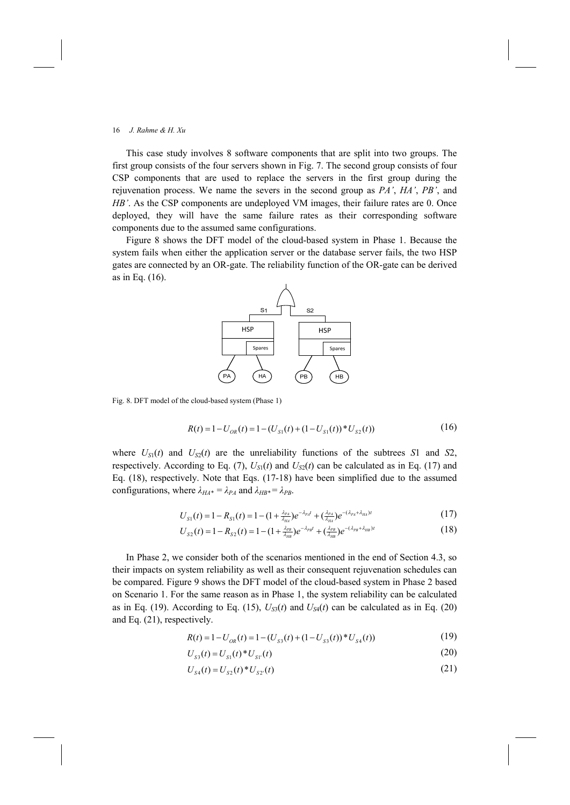This case study involves 8 software components that are split into two groups. The first group consists of the four servers shown in Fig. 7. The second group consists of four CSP components that are used to replace the servers in the first group during the rejuvenation process. We name the severs in the second group as *PA'*, *HA'*, *PB'*, and *HB'*. As the CSP components are undeployed VM images, their failure rates are 0. Once deployed, they will have the same failure rates as their corresponding software components due to the assumed same configurations.

Figure 8 shows the DFT model of the cloud-based system in Phase 1. Because the system fails when either the application server or the database server fails, the two HSP gates are connected by an OR-gate. The reliability function of the OR-gate can be derived as in Eq. (16).



Fig. 8. DFT model of the cloud-based system (Phase 1)

$$
R(t) = 1 - U_{OR}(t) = 1 - (U_{S1}(t) + (1 - U_{S1}(t)) * U_{S2}(t))
$$
\n(16)

where  $U_{S1}(t)$  and  $U_{S2}(t)$  are the unreliability functions of the subtrees *S*1 and *S*2, respectively. According to Eq. (7),  $U_{S1}(t)$  and  $U_{S2}(t)$  can be calculated as in Eq. (17) and Eq. (18), respectively. Note that Eqs. (17-18) have been simplified due to the assumed configurations, where  $\lambda_{H A^*} = \lambda_{P A}$  and  $\lambda_{H B^*} = \lambda_{P B}$ .

$$
U_{S1}(t) = 1 - R_{S1}(t) = 1 - (1 + \frac{\lambda_{p_A}}{\lambda_{HA}})e^{-\lambda_{p_A}t} + (\frac{\lambda_{p_A}}{\lambda_{HA}})e^{-(\lambda_{p_A} + \lambda_{HA})t}
$$
(17)

$$
U_{S2}(t) = 1 - R_{S2}(t) = 1 - (1 + \frac{\lambda_{pg}}{\lambda_{HB}})e^{-\lambda_{pg}t} + (\frac{\lambda_{pg}}{\lambda_{HB}})e^{-(\lambda_{pg} + \lambda_{HB})t}
$$
(18)

In Phase 2, we consider both of the scenarios mentioned in the end of Section 4.3, so their impacts on system reliability as well as their consequent rejuvenation schedules can be compared. Figure 9 shows the DFT model of the cloud-based system in Phase 2 based on Scenario 1. For the same reason as in Phase 1, the system reliability can be calculated as in Eq. (19). According to Eq. (15),  $U_{S3}(t)$  and  $U_{S4}(t)$  can be calculated as in Eq. (20) and Eq. (21), respectively.

$$
R(t) = 1 - U_{OR}(t) = 1 - (U_{S3}(t) + (1 - U_{S3}(t)) * U_{S4}(t))
$$
\n(19)

$$
U_{s3}(t) = U_{s1}(t) * U_{s1}(t)
$$
\n(20)

$$
U_{S4}(t) = U_{S2}(t) * U_{S2}(t)
$$
\n(21)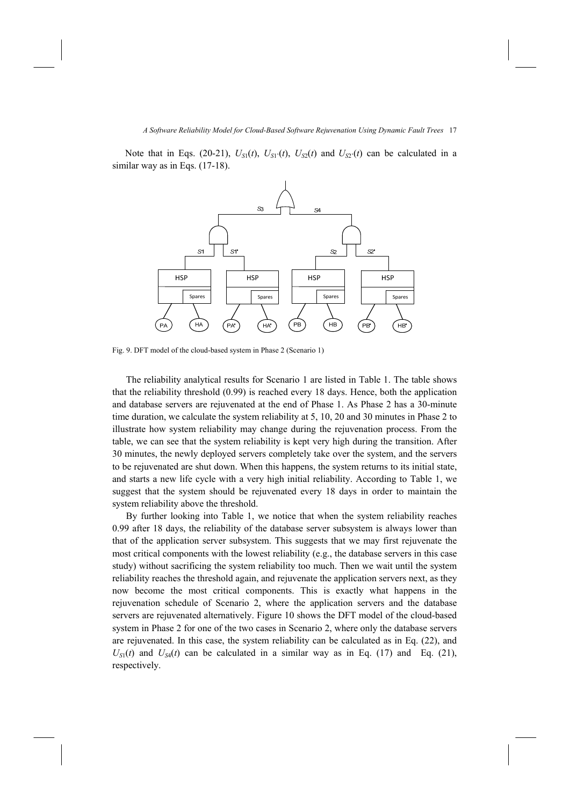Note that in Eqs. (20-21),  $U_{S1}(t)$ ,  $U_{S1'}(t)$ ,  $U_{S2}(t)$  and  $U_{S2'}(t)$  can be calculated in a similar way as in Eqs.  $(17-18)$ .



Fig. 9. DFT model of the cloud-based system in Phase 2 (Scenario 1)

The reliability analytical results for Scenario 1 are listed in Table 1. The table shows that the reliability threshold (0.99) is reached every 18 days. Hence, both the application and database servers are rejuvenated at the end of Phase 1. As Phase 2 has a 30-minute time duration, we calculate the system reliability at 5, 10, 20 and 30 minutes in Phase 2 to illustrate how system reliability may change during the rejuvenation process. From the table, we can see that the system reliability is kept very high during the transition. After 30 minutes, the newly deployed servers completely take over the system, and the servers to be rejuvenated are shut down. When this happens, the system returns to its initial state, and starts a new life cycle with a very high initial reliability. According to Table 1, we suggest that the system should be rejuvenated every 18 days in order to maintain the system reliability above the threshold.

By further looking into Table 1, we notice that when the system reliability reaches 0.99 after 18 days, the reliability of the database server subsystem is always lower than that of the application server subsystem. This suggests that we may first rejuvenate the most critical components with the lowest reliability (e.g., the database servers in this case study) without sacrificing the system reliability too much. Then we wait until the system reliability reaches the threshold again, and rejuvenate the application servers next, as they now become the most critical components. This is exactly what happens in the rejuvenation schedule of Scenario 2, where the application servers and the database servers are rejuvenated alternatively. Figure 10 shows the DFT model of the cloud-based system in Phase 2 for one of the two cases in Scenario 2, where only the database servers are rejuvenated. In this case, the system reliability can be calculated as in Eq. (22), and  $U_{S1}(t)$  and  $U_{S4}(t)$  can be calculated in a similar way as in Eq. (17) and Eq. (21), respectively.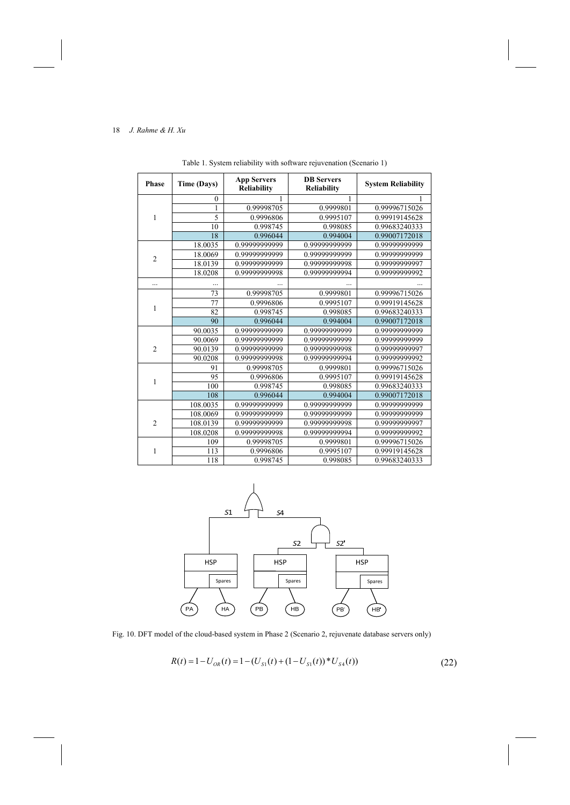| <b>Phase</b>   | Time (Days)    | <b>App Servers</b><br><b>Reliability</b> | <b>DB</b> Servers<br><b>Reliability</b> | <b>System Reliability</b> |
|----------------|----------------|------------------------------------------|-----------------------------------------|---------------------------|
| 1              | $\mathbf{0}$   | 1                                        | 1                                       |                           |
|                | 1              | 0.99998705                               | 0.9999801                               | 0.99996715026             |
|                | $\overline{5}$ | 0.9996806                                | 0.9995107                               | 0.99919145628             |
|                | 10             | 0.998745                                 | 0.998085                                | 0.99683240333             |
|                | 18             | 0.996044                                 | 0.994004                                | 0.99007172018             |
| $\overline{2}$ | 18.0035        | 0.99999999999                            | 0.99999999999                           | 0.99999999999             |
|                | 18.0069        | 0.99999999999                            | 0.99999999999                           | 0.99999999999             |
|                | 18.0139        | 0.99999999999                            | 0.99999999998                           | 0.99999999997             |
|                | 18.0208        | 0.99999999998                            | 0.9999999994                            | 0.9999999992              |
| .              |                |                                          |                                         |                           |
| 1              | 73             | 0.99998705                               | 0.9999801                               | 0.99996715026             |
|                | 77             | 0.9996806                                | 0.9995107                               | 0.99919145628             |
|                | 82             | 0.998745                                 | 0.998085                                | 0.99683240333             |
|                | 90             | 0.996044                                 | 0.994004                                | 0.99007172018             |
|                | 90.0035        | 0.99999999999                            | 0.99999999999                           | 0.99999999999             |
| $\overline{2}$ | 90.0069        | 0.99999999999                            | 0.99999999999                           | 0.99999999999             |
|                | 90.0139        | 0.99999999999                            | 0.99999999998                           | 0.99999999997             |
|                | 90.0208        | 0.99999999998                            | 0.99999999994                           | 0.99999999992             |
| 1              | 91             | 0.99998705                               | 0.9999801                               | 0.99996715026             |
|                | 95             | 0.9996806                                | 0.9995107                               | 0.99919145628             |
|                | 100            | 0.998745                                 | 0.998085                                | 0.99683240333             |
|                | 108            | 0.996044                                 | 0.994004                                | 0.99007172018             |
| $\overline{2}$ | 108.0035       | 0.99999999999                            | 0.99999999999                           | 0.99999999999             |
|                | 108.0069       | 0.99999999999                            | 0.99999999999                           | 0.99999999999             |
|                | 108.0139       | 0.99999999999                            | 0.9999999998                            | 0.99999999997             |
|                | 108.0208       | 0.99999999998                            | 0.99999999994                           | 0.99999999992             |
| 1              | 109            | 0.99998705                               | 0.9999801                               | 0.99996715026             |
|                | 113            | 0.9996806                                | 0.9995107                               | 0.99919145628             |
|                | 118            | 0.998745                                 | 0.998085                                | 0.99683240333             |

Table 1. System reliability with software rejuvenation (Scenario 1)



Fig. 10. DFT model of the cloud-based system in Phase 2 (Scenario 2, rejuvenate database servers only)

$$
R(t) = 1 - U_{OR}(t) = 1 - (U_{S1}(t) + (1 - U_{S1}(t)) * U_{S4}(t))
$$
\n(22)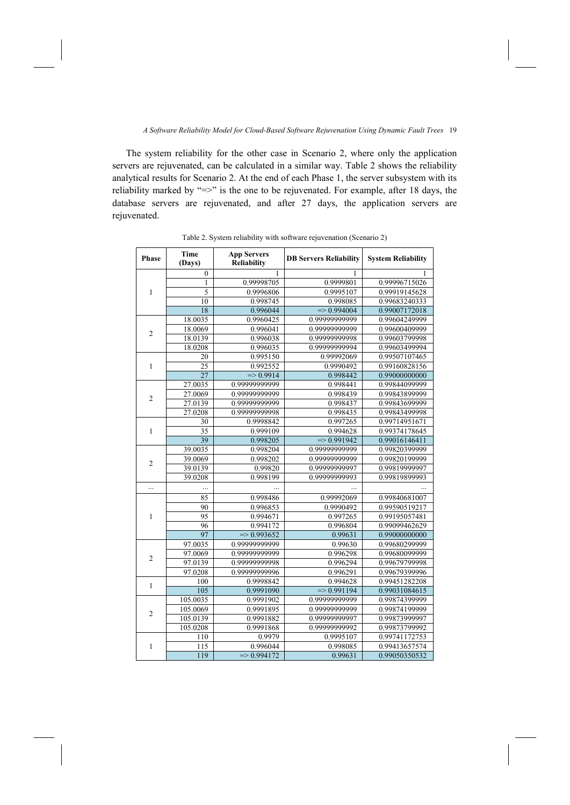The system reliability for the other case in Scenario 2, where only the application servers are rejuvenated, can be calculated in a similar way. Table 2 shows the reliability analytical results for Scenario 2. At the end of each Phase 1, the server subsystem with its reliability marked by "=>" is the one to be rejuvenated. For example, after 18 days, the database servers are rejuvenated, and after 27 days, the application servers are rejuvenated.

| Phase          | <b>Time</b><br>(Days) | <b>App Servers</b><br><b>Reliability</b> | <b>DB Servers Reliability</b> | <b>System Reliability</b> |
|----------------|-----------------------|------------------------------------------|-------------------------------|---------------------------|
| 1              | $\mathbf{0}$          | 1                                        | 1                             |                           |
|                | 1                     | 0.99998705                               | 0.9999801                     | 0.99996715026             |
|                | $\overline{5}$        | 0.9996806                                | 0.9995107                     | 0.99919145628             |
|                | 10                    | 0.998745                                 | 0.998085                      | 0.99683240333             |
|                | 18                    | 0.996044                                 | $=$ 0.994004                  | 0.99007172018             |
| $\overline{2}$ | 18.0035               | 0.9960425                                | 0.99999999999                 | 0.99604249999             |
|                | 18.0069               | 0.996041                                 | 0.9999999999                  | 0.99600409999             |
|                | 18.0139               | 0.996038                                 | 0.99999999998                 | 0.99603799998             |
|                | 18.0208               | 0.996035                                 | 0.99999999994                 | 0.99603499994             |
| 1              | 20                    | 0.995150                                 | 0.99992069                    | 0.99507107465             |
|                | 25                    | 0.992552                                 | 0.9990492                     | 0.99160828156             |
|                | 27                    | $\Rightarrow 0.9914$                     | 0.998442                      | 0.99000000000             |
| $\overline{2}$ | 27.0035               | 0.99999999999                            | 0.998441                      | 0.99844099999             |
|                | 27.0069               | 0.99999999999                            | 0.998439                      | 0.99843899999             |
|                | 27.0139               | 0.99999999999                            | 0.998437                      | 0.99843699999             |
|                | 27.0208               | 0.99999999998                            | 0.998435                      | 0.99843499998             |
|                | 30                    | 0.9998842                                | 0.997265                      | 0.99714951671             |
| 1              | 35                    | 0.999109                                 | 0.994628                      | 0.99374178645             |
|                | 39                    | 0.998205                                 | $=$ 0.991942                  | 0.99016146411             |
|                | 39.0035               | 0.998204                                 | 0.99999999999                 | 0.99820399999             |
| $\overline{2}$ | 39.0069               | 0.998202                                 | 0.99999999999                 | 0.99820199999             |
|                | 39.0139               | 0.99820                                  | 0.99999999997                 | 0.99819999997             |
|                | 39.0208               | 0.998199                                 | 0.99999999993                 | 0.99819899993             |
| $\cdots$       |                       |                                          |                               |                           |
|                | 85                    | 0.998486                                 | 0.99992069                    | 0.99840681007             |
|                | 90                    | 0.996853                                 | 0.9990492                     | 0.99590519217             |
| 1              | 95                    | 0.994671                                 | 0.997265                      | 0.99195057481             |
|                | 96                    | 0.994172                                 | 0.996804                      | 0.99099462629             |
|                | 97                    | $=$ 0.993652                             | 0.99631                       | 0.99000000000             |
| $\overline{2}$ | 97.0035               | 0.99999999999                            | 0.99630                       | 0.99680299999             |
|                | 97.0069               | 0.99999999999                            | 0.996298                      | 0.99680099999             |
|                | 97.0139               | 0.99999999998                            | 0.996294                      | 0.99679799998             |
|                | 97.0208               | 0.99999999996                            | 0.996291                      | 0.99679399996             |
| 1              | 100                   | 0.9998842                                | 0.994628                      | 0.99451282208             |
|                | 105                   | 0.9991090                                | $=$ 0.991194                  | 0.99031084615             |
| $\overline{c}$ | 105.0035              | 0.9991902                                | 0.99999999999                 | 0.99874399999             |
|                | 105.0069              | 0.9991895                                | 0.99999999999                 | 0.99874199999             |
|                | 105.0139              | 0.9991882                                | 0.99999999997                 | 0.99873999997             |
|                | 105.0208              | 0.9991868                                | 0.99999999992                 | 0.99873799992             |
| 1              | 110                   | 0.9979                                   | 0.9995107                     | 0.99741172753             |
|                | 115                   | 0.996044                                 | 0.998085                      | 0.99413657574             |
|                | 119                   | $=$ 0.994172                             | 0.99631                       | 0.99050350532             |

Table 2. System reliability with software rejuvenation (Scenario 2)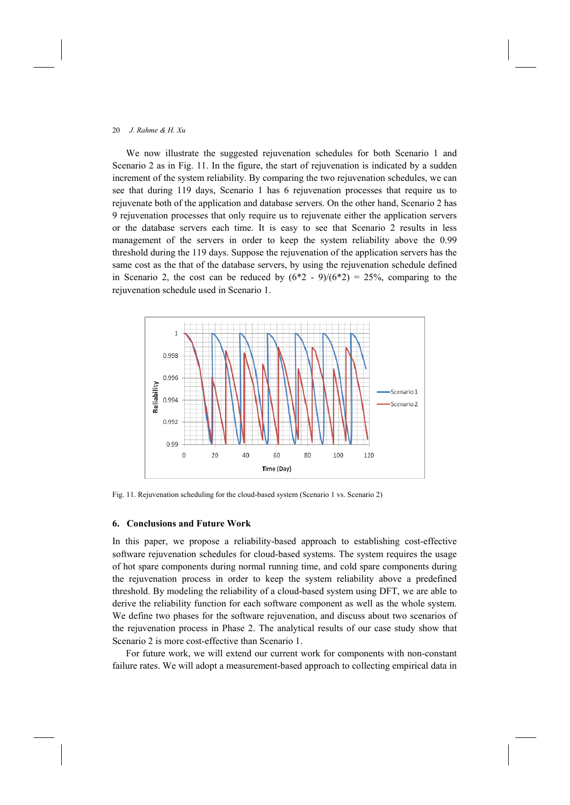We now illustrate the suggested rejuvenation schedules for both Scenario 1 and Scenario 2 as in Fig. 11. In the figure, the start of rejuvenation is indicated by a sudden increment of the system reliability. By comparing the two rejuvenation schedules, we can see that during 119 days, Scenario 1 has 6 rejuvenation processes that require us to rejuvenate both of the application and database servers. On the other hand, Scenario 2 has 9 rejuvenation processes that only require us to rejuvenate either the application servers or the database servers each time. It is easy to see that Scenario 2 results in less management of the servers in order to keep the system reliability above the 0.99 threshold during the 119 days. Suppose the rejuvenation of the application servers has the same cost as the that of the database servers, by using the rejuvenation schedule defined in Scenario 2, the cost can be reduced by  $(6*2 - 9)/(6*2) = 25%$ , comparing to the rejuvenation schedule used in Scenario 1.



Fig. 11. Rejuvenation scheduling for the cloud-based system (Scenario 1 vs. Scenario 2)

### **6. Conclusions and Future Work**

In this paper, we propose a reliability-based approach to establishing cost-effective software rejuvenation schedules for cloud-based systems. The system requires the usage of hot spare components during normal running time, and cold spare components during the rejuvenation process in order to keep the system reliability above a predefined threshold. By modeling the reliability of a cloud-based system using DFT, we are able to derive the reliability function for each software component as well as the whole system. We define two phases for the software rejuvenation, and discuss about two scenarios of the rejuvenation process in Phase 2. The analytical results of our case study show that Scenario 2 is more cost-effective than Scenario 1.

For future work, we will extend our current work for components with non-constant failure rates. We will adopt a measurement-based approach to collecting empirical data in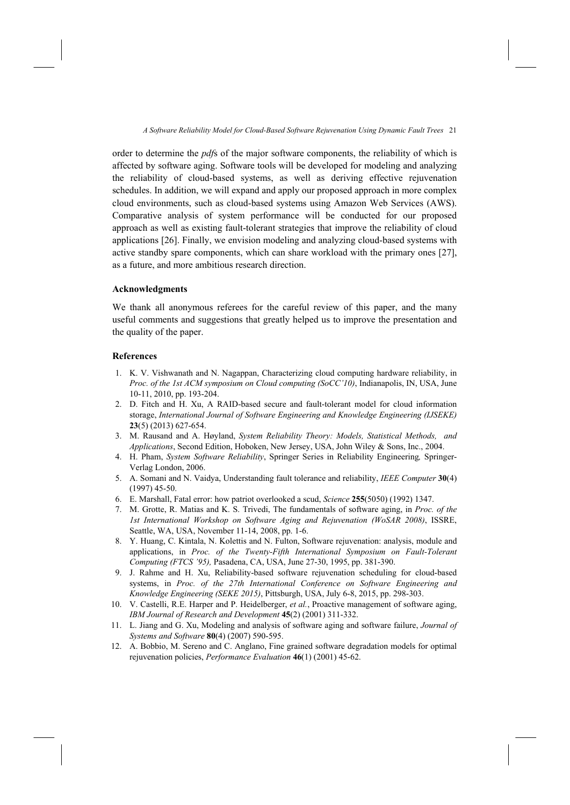order to determine the *pdf*s of the major software components, the reliability of which is affected by software aging. Software tools will be developed for modeling and analyzing the reliability of cloud-based systems, as well as deriving effective rejuvenation schedules. In addition, we will expand and apply our proposed approach in more complex cloud environments, such as cloud-based systems using Amazon Web Services (AWS). Comparative analysis of system performance will be conducted for our proposed approach as well as existing fault-tolerant strategies that improve the reliability of cloud applications [26]. Finally, we envision modeling and analyzing cloud-based systems with active standby spare components, which can share workload with the primary ones [27], as a future, and more ambitious research direction.

## **Acknowledgments**

We thank all anonymous referees for the careful review of this paper, and the many useful comments and suggestions that greatly helped us to improve the presentation and the quality of the paper.

### **References**

- 1. K. V. Vishwanath and N. Nagappan, Characterizing cloud computing hardware reliability, in *Proc. of the 1st ACM symposium on Cloud computing (SoCC'10)*, Indianapolis, IN, USA, June 10-11, 2010, pp. 193-204.
- 2. D. Fitch and H. Xu, A RAID-based secure and fault-tolerant model for cloud information storage, *International Journal of Software Engineering and Knowledge Engineering (IJSEKE)* **23**(5) (2013) 627-654.
- 3. M. Rausand and A. Høyland, *System Reliability Theory: Models, Statistical Methods, and Applications*, Second Edition, Hoboken, New Jersey, USA, John Wiley & Sons, Inc., 2004.
- 4. H. Pham, *System Software Reliability*, Springer Series in Reliability Engineering*,* Springer-Verlag London, 2006.
- 5. A. Somani and N. Vaidya, Understanding fault tolerance and reliability, *IEEE Computer* **30**(4) (1997) 45-50.
- 6. E. Marshall, Fatal error: how patriot overlooked a scud, *Science* **255**(5050) (1992) 1347.
- 7. M. Grotte, R. Matias and K. S. Trivedi, The fundamentals of software aging, in *Proc. of the 1st International Workshop on Software Aging and Rejuvenation (WoSAR 2008)*, ISSRE, Seattle, WA, USA, November 11-14, 2008, pp. 1-6.
- 8. Y. Huang, C. Kintala, N. Kolettis and N. Fulton, Software rejuvenation: analysis, module and applications, in *Proc. of the Twenty-Fifth International Symposium on Fault-Tolerant Computing (FTCS '95),* Pasadena, CA, USA, June 27-30, 1995, pp. 381-390.
- 9. J. Rahme and H. Xu, Reliability-based software rejuvenation scheduling for cloud-based systems, in *Proc. of the 27th International Conference on Software Engineering and Knowledge Engineering (SEKE 2015)*, Pittsburgh, USA, July 6-8, 2015, pp. 298-303.
- 10. V. Castelli, R.E. Harper and P. Heidelberger, *et al.*, Proactive management of software aging, *IBM Journal of Research and Development* **45**(2) (2001) 311-332.
- 11. L. Jiang and G. Xu, Modeling and analysis of software aging and software failure, *Journal of Systems and Software* **80**(4) (2007) 590-595.
- 12. A. Bobbio, M. Sereno and C. Anglano, Fine grained software degradation models for optimal rejuvenation policies, *Performance Evaluation* **46**(1) (2001) 45-62.